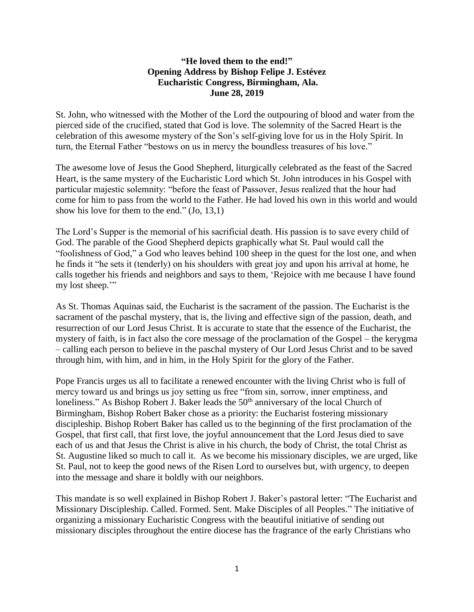## **"He loved them to the end!" Opening Address by Bishop Felipe J. Estévez Eucharistic Congress, Birmingham, Ala. June 28, 2019**

St. John, who witnessed with the Mother of the Lord the outpouring of blood and water from the pierced side of the crucified, stated that God is love. The solemnity of the Sacred Heart is the celebration of this awesome mystery of the Son's self-giving love for us in the Holy Spirit. In turn, the Eternal Father "bestows on us in mercy the boundless treasures of his love."

The awesome love of Jesus the Good Shepherd, liturgically celebrated as the feast of the Sacred Heart, is the same mystery of the Eucharistic Lord which St. John introduces in his Gospel with particular majestic solemnity: "before the feast of Passover, Jesus realized that the hour had come for him to pass from the world to the Father. He had loved his own in this world and would show his love for them to the end." (Jo, 13,1)

The Lord's Supper is the memorial of his sacrificial death. His passion is to save every child of God. The parable of the Good Shepherd depicts graphically what St. Paul would call the "foolishness of God," a God who leaves behind 100 sheep in the quest for the lost one, and when he finds it "he sets it (tenderly) on his shoulders with great joy and upon his arrival at home, he calls together his friends and neighbors and says to them, 'Rejoice with me because I have found my lost sheep."

As St. Thomas Aquinas said, the Eucharist is the sacrament of the passion. The Eucharist is the sacrament of the paschal mystery, that is, the living and effective sign of the passion, death, and resurrection of our Lord Jesus Christ. It is accurate to state that the essence of the Eucharist, the mystery of faith, is in fact also the core message of the proclamation of the Gospel – the kerygma – calling each person to believe in the paschal mystery of Our Lord Jesus Christ and to be saved through him, with him, and in him, in the Holy Spirit for the glory of the Father.

Pope Francis urges us all to facilitate a renewed encounter with the living Christ who is full of mercy toward us and brings us joy setting us free "from sin, sorrow, inner emptiness, and loneliness." As Bishop Robert J. Baker leads the  $50<sup>th</sup>$  anniversary of the local Church of Birmingham, Bishop Robert Baker chose as a priority: the Eucharist fostering missionary discipleship. Bishop Robert Baker has called us to the beginning of the first proclamation of the Gospel, that first call, that first love, the joyful announcement that the Lord Jesus died to save each of us and that Jesus the Christ is alive in his church, the body of Christ, the total Christ as St. Augustine liked so much to call it. As we become his missionary disciples, we are urged, like St. Paul, not to keep the good news of the Risen Lord to ourselves but, with urgency, to deepen into the message and share it boldly with our neighbors.

This mandate is so well explained in Bishop Robert J. Baker's pastoral letter: "The Eucharist and Missionary Discipleship. Called. Formed. Sent. Make Disciples of all Peoples." The initiative of organizing a missionary Eucharistic Congress with the beautiful initiative of sending out missionary disciples throughout the entire diocese has the fragrance of the early Christians who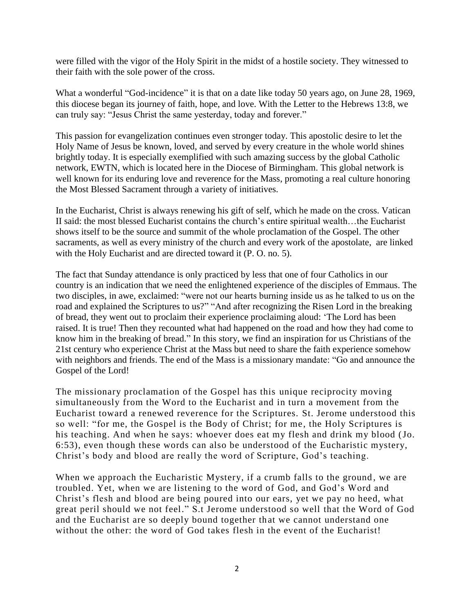were filled with the vigor of the Holy Spirit in the midst of a hostile society. They witnessed to their faith with the sole power of the cross.

What a wonderful "God-incidence" it is that on a date like today 50 years ago, on June 28, 1969, this diocese began its journey of faith, hope, and love. With the Letter to the Hebrews 13:8, we can truly say: "Jesus Christ the same yesterday, today and forever."

This passion for evangelization continues even stronger today. This apostolic desire to let the Holy Name of Jesus be known, loved, and served by every creature in the whole world shines brightly today. It is especially exemplified with such amazing success by the global Catholic network, EWTN, which is located here in the Diocese of Birmingham. This global network is well known for its enduring love and reverence for the Mass, promoting a real culture honoring the Most Blessed Sacrament through a variety of initiatives.

In the Eucharist, Christ is always renewing his gift of self, which he made on the cross. Vatican II said: the most blessed Eucharist contains the church's entire spiritual wealth…the Eucharist shows itself to be the source and summit of the whole proclamation of the Gospel. The other sacraments, as well as every ministry of the church and every work of the apostolate, are linked with the Holy Eucharist and are directed toward it (P. O. no. 5).

The fact that Sunday attendance is only practiced by less that one of four Catholics in our country is an indication that we need the enlightened experience of the disciples of Emmaus. The two disciples, in awe, exclaimed: "were not our hearts burning inside us as he talked to us on the road and explained the Scriptures to us?" "And after recognizing the Risen Lord in the breaking of bread, they went out to proclaim their experience proclaiming aloud: 'The Lord has been raised. It is true! Then they recounted what had happened on the road and how they had come to know him in the breaking of bread." In this story, we find an inspiration for us Christians of the 21st century who experience Christ at the Mass but need to share the faith experience somehow with neighbors and friends. The end of the Mass is a missionary mandate: "Go and announce the Gospel of the Lord!

The missionary proclamation of the Gospel has this unique reciprocity moving simultaneously from the Word to the Eucharist and in turn a movement from the Eucharist toward a renewed reverence for the Scriptures. St. Jerome understood this so well: "for me, the Gospel is the Body of Christ; for me, the Holy Scriptures is his teaching. And when he says: whoever does eat my flesh and drink my blood (Jo. 6:53), even though these words can also be understood of the Eucharistic mystery, Christ's body and blood are really the word of Scripture, God's teaching.

When we approach the Eucharistic Mystery, if a crumb falls to the ground, we are troubled. Yet, when we are listening to the word of God, and God's Word and Christ's flesh and blood are being poured into our ears, yet we pay no heed, what great peril should we not feel." S.t Jerome understood so well that the Word of God and the Eucharist are so deeply bound together that we cannot understand one without the other: the word of God takes flesh in the event of the Eucharist!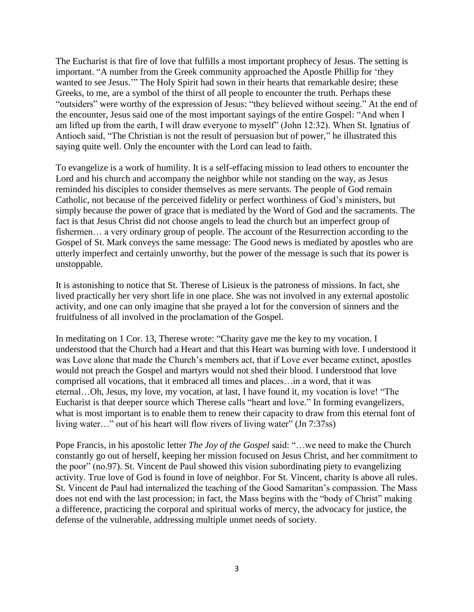The Eucharist is that fire of love that fulfills a most important prophecy of Jesus. The setting is important. "A number from the Greek community approached the Apostle Phillip for 'they wanted to see Jesus.'" The Holy Spirit had sown in their hearts that remarkable desire; these Greeks, to me, are a symbol of the thirst of all people to encounter the truth. Perhaps these "outsiders" were worthy of the expression of Jesus: "they believed without seeing." At the end of the encounter, Jesus said one of the most important sayings of the entire Gospel: "And when I am lifted up from the earth, I will draw everyone to myself" (John 12:32). When St. Ignatius of Antioch said, "The Christian is not the result of persuasion but of power," he illustrated this saying quite well. Only the encounter with the Lord can lead to faith.

To evangelize is a work of humility. It is a self-effacing mission to lead others to encounter the Lord and his church and accompany the neighbor while not standing on the way, as Jesus reminded his disciples to consider themselves as mere servants. The people of God remain Catholic, not because of the perceived fidelity or perfect worthiness of God's ministers, but simply because the power of grace that is mediated by the Word of God and the sacraments. The fact is that Jesus Christ did not choose angels to lead the church but an imperfect group of fishermen… a very ordinary group of people. The account of the Resurrection according to the Gospel of St. Mark conveys the same message: The Good news is mediated by apostles who are utterly imperfect and certainly unworthy, but the power of the message is such that its power is unstoppable.

It is astonishing to notice that St. Therese of Lisieux is the patroness of missions. In fact, she lived practically her very short life in one place. She was not involved in any external apostolic activity, and one can only imagine that she prayed a lot for the conversion of sinners and the fruitfulness of all involved in the proclamation of the Gospel.

In meditating on 1 Cor. 13, Therese wrote: "Charity gave me the key to my vocation. I understood that the Church had a Heart and that this Heart was burning with love. I understood it was Love alone that made the Church's members act, that if Love ever became extinct, apostles would not preach the Gospel and martyrs would not shed their blood. I understood that love comprised all vocations, that it embraced all times and places…in a word, that it was eternal…Oh, Jesus, my love, my vocation, at last, I have found it, my vocation is love! "The Eucharist is that deeper source which Therese calls "heart and love." In forming evangelizers, what is most important is to enable them to renew their capacity to draw from this eternal font of living water…" out of his heart will flow rivers of living water" (Jn 7:37ss)

Pope Francis, in his apostolic letter *The Joy of the Gospel* said: "…we need to make the Church constantly go out of herself, keeping her mission focused on Jesus Christ, and her commitment to the poor" (no.97). St. Vincent de Paul showed this vision subordinating piety to evangelizing activity. True love of God is found in love of neighbor. For St. Vincent, charity is above all rules. St. Vincent de Paul had internalized the teaching of the Good Samaritan's compassion. The Mass does not end with the last procession; in fact, the Mass begins with the "body of Christ" making a difference, practicing the corporal and spiritual works of mercy, the advocacy for justice, the defense of the vulnerable, addressing multiple unmet needs of society.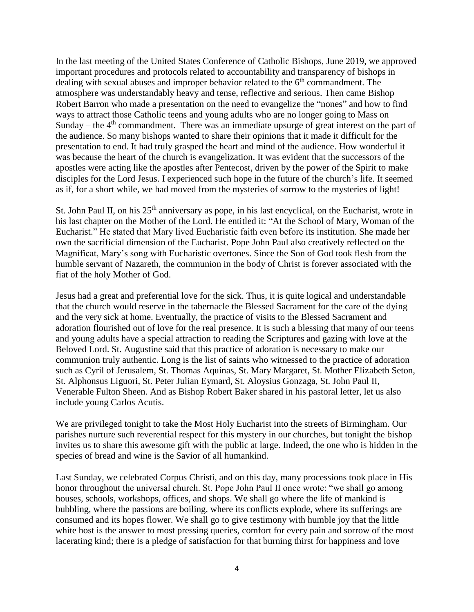In the last meeting of the United States Conference of Catholic Bishops, June 2019, we approved important procedures and protocols related to accountability and transparency of bishops in dealing with sexual abuses and improper behavior related to the 6<sup>th</sup> commandment. The atmosphere was understandably heavy and tense, reflective and serious. Then came Bishop Robert Barron who made a presentation on the need to evangelize the "nones" and how to find ways to attract those Catholic teens and young adults who are no longer going to Mass on Sunday – the  $4<sup>th</sup>$  commandment. There was an immediate upsurge of great interest on the part of the audience. So many bishops wanted to share their opinions that it made it difficult for the presentation to end. It had truly grasped the heart and mind of the audience. How wonderful it was because the heart of the church is evangelization. It was evident that the successors of the apostles were acting like the apostles after Pentecost, driven by the power of the Spirit to make disciples for the Lord Jesus. I experienced such hope in the future of the church's life. It seemed as if, for a short while, we had moved from the mysteries of sorrow to the mysteries of light!

St. John Paul II, on his 25<sup>th</sup> anniversary as pope, in his last encyclical, on the Eucharist, wrote in his last chapter on the Mother of the Lord. He entitled it: "At the School of Mary, Woman of the Eucharist." He stated that Mary lived Eucharistic faith even before its institution. She made her own the sacrificial dimension of the Eucharist. Pope John Paul also creatively reflected on the Magnificat, Mary's song with Eucharistic overtones. Since the Son of God took flesh from the humble servant of Nazareth, the communion in the body of Christ is forever associated with the fiat of the holy Mother of God.

Jesus had a great and preferential love for the sick. Thus, it is quite logical and understandable that the church would reserve in the tabernacle the Blessed Sacrament for the care of the dying and the very sick at home. Eventually, the practice of visits to the Blessed Sacrament and adoration flourished out of love for the real presence. It is such a blessing that many of our teens and young adults have a special attraction to reading the Scriptures and gazing with love at the Beloved Lord. St. Augustine said that this practice of adoration is necessary to make our communion truly authentic. Long is the list of saints who witnessed to the practice of adoration such as Cyril of Jerusalem, St. Thomas Aquinas, St. Mary Margaret, St. Mother Elizabeth Seton, St. Alphonsus Liguori, St. Peter Julian Eymard, St. Aloysius Gonzaga, St. John Paul II, Venerable Fulton Sheen. And as Bishop Robert Baker shared in his pastoral letter, let us also include young Carlos Acutis.

We are privileged tonight to take the Most Holy Eucharist into the streets of Birmingham. Our parishes nurture such reverential respect for this mystery in our churches, but tonight the bishop invites us to share this awesome gift with the public at large. Indeed, the one who is hidden in the species of bread and wine is the Savior of all humankind.

Last Sunday, we celebrated Corpus Christi, and on this day, many processions took place in His honor throughout the universal church. St. Pope John Paul II once wrote: "we shall go among houses, schools, workshops, offices, and shops. We shall go where the life of mankind is bubbling, where the passions are boiling, where its conflicts explode, where its sufferings are consumed and its hopes flower. We shall go to give testimony with humble joy that the little white host is the answer to most pressing queries, comfort for every pain and sorrow of the most lacerating kind; there is a pledge of satisfaction for that burning thirst for happiness and love